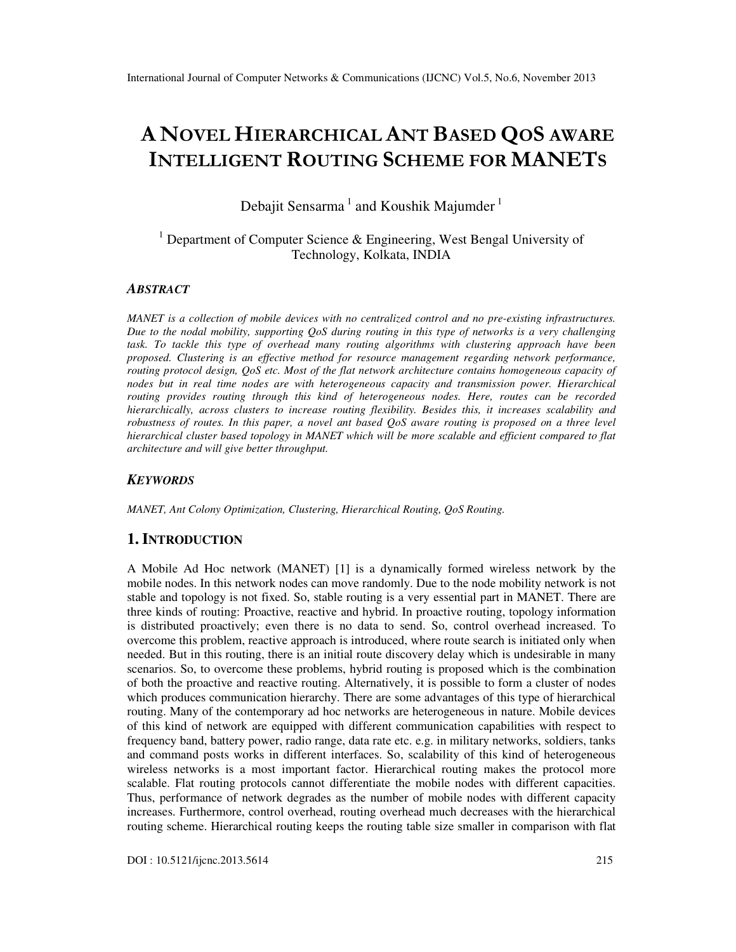# A NOVEL HIERARCHICAL ANT BASED QOS AWARE INTELLIGENT ROUTING SCHEME FOR MANETS

Debajit Sensarma<sup>1</sup> and Koushik Majumder<sup>1</sup>

<sup>1</sup> Department of Computer Science & Engineering, West Bengal University of Technology, Kolkata, INDIA

#### *ABSTRACT*

*MANET is a collection of mobile devices with no centralized control and no pre-existing infrastructures. Due to the nodal mobility, supporting QoS during routing in this type of networks is a very challenging task. To tackle this type of overhead many routing algorithms with clustering approach have been proposed. Clustering is an effective method for resource management regarding network performance, routing protocol design, QoS etc. Most of the flat network architecture contains homogeneous capacity of nodes but in real time nodes are with heterogeneous capacity and transmission power. Hierarchical routing provides routing through this kind of heterogeneous nodes. Here, routes can be recorded hierarchically, across clusters to increase routing flexibility. Besides this, it increases scalability and robustness of routes. In this paper, a novel ant based QoS aware routing is proposed on a three level hierarchical cluster based topology in MANET which will be more scalable and efficient compared to flat architecture and will give better throughput.* 

## *KEYWORDS*

*MANET, Ant Colony Optimization, Clustering, Hierarchical Routing, QoS Routing.* 

## **1. INTRODUCTION**

A Mobile Ad Hoc network (MANET) [1] is a dynamically formed wireless network by the mobile nodes. In this network nodes can move randomly. Due to the node mobility network is not stable and topology is not fixed. So, stable routing is a very essential part in MANET. There are three kinds of routing: Proactive, reactive and hybrid. In proactive routing, topology information is distributed proactively; even there is no data to send. So, control overhead increased. To overcome this problem, reactive approach is introduced, where route search is initiated only when needed. But in this routing, there is an initial route discovery delay which is undesirable in many scenarios. So, to overcome these problems, hybrid routing is proposed which is the combination of both the proactive and reactive routing. Alternatively, it is possible to form a cluster of nodes which produces communication hierarchy. There are some advantages of this type of hierarchical routing. Many of the contemporary ad hoc networks are heterogeneous in nature. Mobile devices of this kind of network are equipped with different communication capabilities with respect to frequency band, battery power, radio range, data rate etc. e.g. in military networks, soldiers, tanks and command posts works in different interfaces. So, scalability of this kind of heterogeneous wireless networks is a most important factor. Hierarchical routing makes the protocol more scalable. Flat routing protocols cannot differentiate the mobile nodes with different capacities. Thus, performance of network degrades as the number of mobile nodes with different capacity increases. Furthermore, control overhead, routing overhead much decreases with the hierarchical routing scheme. Hierarchical routing keeps the routing table size smaller in comparison with flat

DOI : 10.5121/ijcnc.2013.5614 215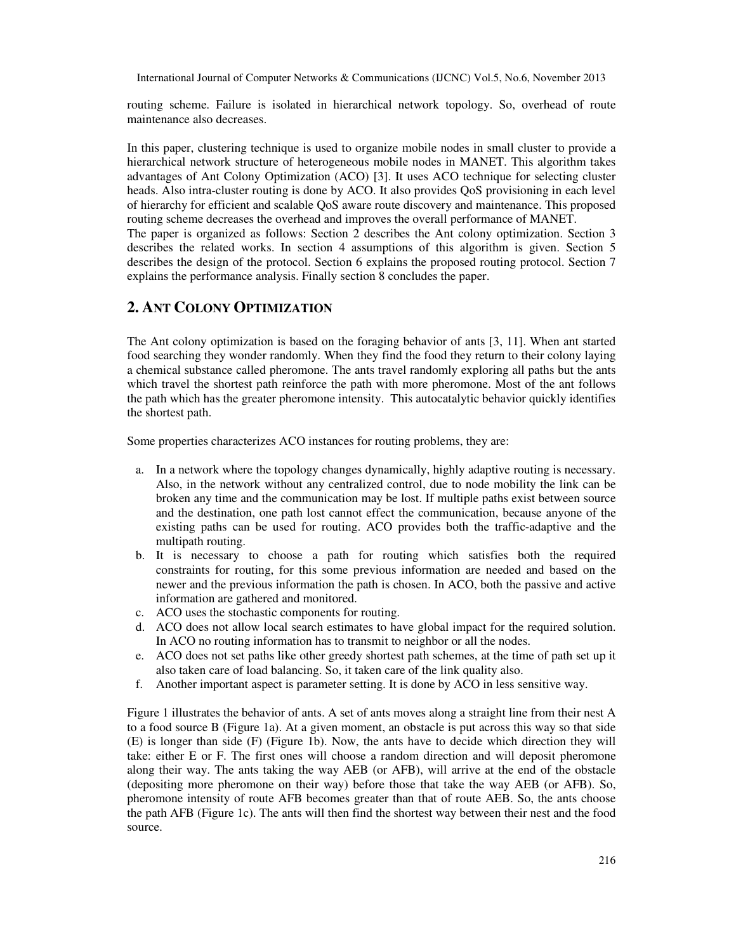routing scheme. Failure is isolated in hierarchical network topology. So, overhead of route maintenance also decreases.

In this paper, clustering technique is used to organize mobile nodes in small cluster to provide a hierarchical network structure of heterogeneous mobile nodes in MANET. This algorithm takes advantages of Ant Colony Optimization (ACO) [3]. It uses ACO technique for selecting cluster heads. Also intra-cluster routing is done by ACO. It also provides QoS provisioning in each level of hierarchy for efficient and scalable QoS aware route discovery and maintenance. This proposed routing scheme decreases the overhead and improves the overall performance of MANET. The paper is organized as follows: Section 2 describes the Ant colony optimization. Section 3 describes the related works. In section 4 assumptions of this algorithm is given. Section 5 describes the design of the protocol. Section 6 explains the proposed routing protocol. Section 7 explains the performance analysis. Finally section 8 concludes the paper.

# **2. ANT COLONY OPTIMIZATION**

The Ant colony optimization is based on the foraging behavior of ants [3, 11]. When ant started food searching they wonder randomly. When they find the food they return to their colony laying a chemical substance called pheromone. The ants travel randomly exploring all paths but the ants which travel the shortest path reinforce the path with more pheromone. Most of the ant follows the path which has the greater pheromone intensity. This autocatalytic behavior quickly identifies the shortest path.

Some properties characterizes ACO instances for routing problems, they are:

- a. In a network where the topology changes dynamically, highly adaptive routing is necessary. Also, in the network without any centralized control, due to node mobility the link can be broken any time and the communication may be lost. If multiple paths exist between source and the destination, one path lost cannot effect the communication, because anyone of the existing paths can be used for routing. ACO provides both the traffic-adaptive and the multipath routing.
- b. It is necessary to choose a path for routing which satisfies both the required constraints for routing, for this some previous information are needed and based on the newer and the previous information the path is chosen. In ACO, both the passive and active information are gathered and monitored.
- c. ACO uses the stochastic components for routing.
- d. ACO does not allow local search estimates to have global impact for the required solution. In ACO no routing information has to transmit to neighbor or all the nodes.
- e. ACO does not set paths like other greedy shortest path schemes, at the time of path set up it also taken care of load balancing. So, it taken care of the link quality also.
- f. Another important aspect is parameter setting. It is done by ACO in less sensitive way.

Figure 1 illustrates the behavior of ants. A set of ants moves along a straight line from their nest A to a food source B (Figure 1a). At a given moment, an obstacle is put across this way so that side (E) is longer than side (F) (Figure 1b). Now, the ants have to decide which direction they will take: either E or F. The first ones will choose a random direction and will deposit pheromone along their way. The ants taking the way AEB (or AFB), will arrive at the end of the obstacle (depositing more pheromone on their way) before those that take the way AEB (or AFB). So, pheromone intensity of route AFB becomes greater than that of route AEB. So, the ants choose the path AFB (Figure 1c). The ants will then find the shortest way between their nest and the food source.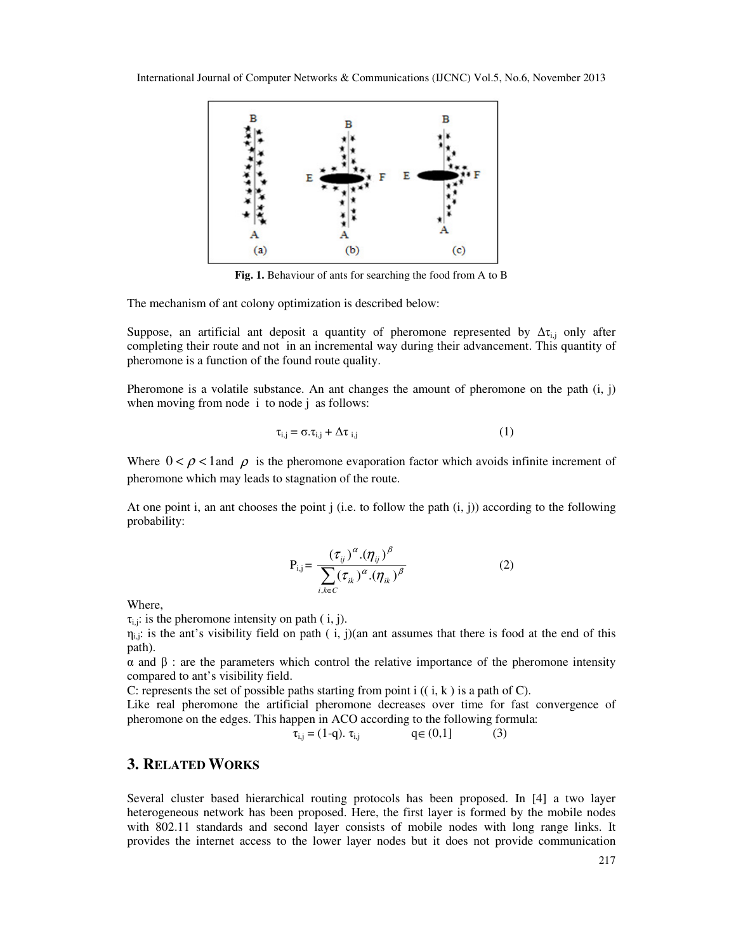

**Fig. 1.** Behaviour of ants for searching the food from A to B

The mechanism of ant colony optimization is described below:

Suppose, an artificial ant deposit a quantity of pheromone represented by  $\Delta \tau_{i,j}$  only after completing their route and not in an incremental way during their advancement. This quantity of pheromone is a function of the found route quality.

Pheromone is a volatile substance. An ant changes the amount of pheromone on the path  $(i, j)$ when moving from node *i* to node *j* as follows:

$$
\tau_{i,j} = \sigma \cdot \tau_{i,j} + \Delta \tau_{i,j} \tag{1}
$$

Where  $0 < \rho < 1$  and  $\rho$  is the pheromone evaporation factor which avoids infinite increment of pheromone which may leads to stagnation of the route.

At one point i, an ant chooses the point j (i.e. to follow the path  $(i, j)$ ) according to the following probability:

$$
P_{i,j} = \frac{(\tau_{ij})^{\alpha} . (\eta_{ij})^{\beta}}{\sum_{i,k \in C} (\tau_{ik})^{\alpha} . (\eta_{ik})^{\beta}}
$$
(2)

Where,

 $\tau_{i,i}$ : is the pheromone intensity on path ( i, j).

 $\eta_{i,j}$ : is the ant's visibility field on path ( i, j)(an ant assumes that there is food at the end of this path).

α and β : are the parameters which control the relative importance of the pheromone intensity compared to ant's visibility field.

C: represents the set of possible paths starting from point  $i$   $((i, k)$  is a path of C).

Like real pheromone the artificial pheromone decreases over time for fast convergence of pheromone on the edges. This happen in ACO according to the following formula:

$$
\tau_{i,j} = (1-q). \ \tau_{i,j} \qquad \qquad q \in (0,1] \tag{3}
$$

## **3. RELATED WORKS**

Several cluster based hierarchical routing protocols has been proposed. In [4] a two layer heterogeneous network has been proposed. Here, the first layer is formed by the mobile nodes with 802.11 standards and second layer consists of mobile nodes with long range links. It provides the internet access to the lower layer nodes but it does not provide communication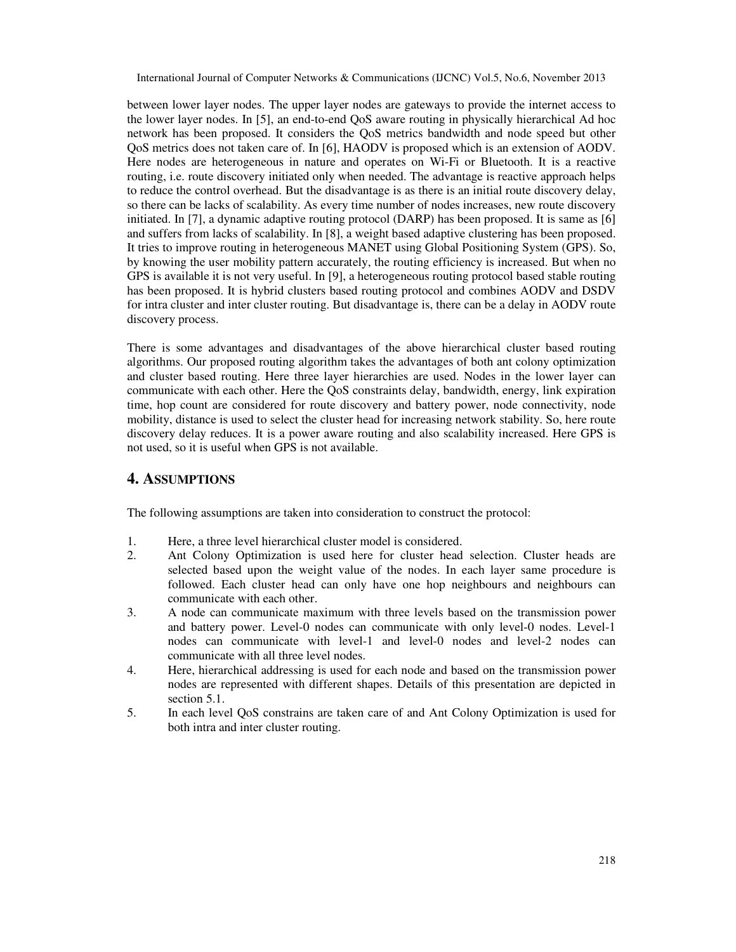between lower layer nodes. The upper layer nodes are gateways to provide the internet access to the lower layer nodes. In [5], an end-to-end QoS aware routing in physically hierarchical Ad hoc network has been proposed. It considers the QoS metrics bandwidth and node speed but other QoS metrics does not taken care of. In [6], HAODV is proposed which is an extension of AODV. Here nodes are heterogeneous in nature and operates on Wi-Fi or Bluetooth. It is a reactive routing, i.e. route discovery initiated only when needed. The advantage is reactive approach helps to reduce the control overhead. But the disadvantage is as there is an initial route discovery delay, so there can be lacks of scalability. As every time number of nodes increases, new route discovery initiated. In [7], a dynamic adaptive routing protocol (DARP) has been proposed. It is same as [6] and suffers from lacks of scalability. In [8], a weight based adaptive clustering has been proposed. It tries to improve routing in heterogeneous MANET using Global Positioning System (GPS). So, by knowing the user mobility pattern accurately, the routing efficiency is increased. But when no GPS is available it is not very useful. In [9], a heterogeneous routing protocol based stable routing has been proposed. It is hybrid clusters based routing protocol and combines AODV and DSDV for intra cluster and inter cluster routing. But disadvantage is, there can be a delay in AODV route discovery process.

There is some advantages and disadvantages of the above hierarchical cluster based routing algorithms. Our proposed routing algorithm takes the advantages of both ant colony optimization and cluster based routing. Here three layer hierarchies are used. Nodes in the lower layer can communicate with each other. Here the QoS constraints delay, bandwidth, energy, link expiration time, hop count are considered for route discovery and battery power, node connectivity, node mobility, distance is used to select the cluster head for increasing network stability. So, here route discovery delay reduces. It is a power aware routing and also scalability increased. Here GPS is not used, so it is useful when GPS is not available.

## **4. ASSUMPTIONS**

The following assumptions are taken into consideration to construct the protocol:

- 1. Here, a three level hierarchical cluster model is considered.
- 2. Ant Colony Optimization is used here for cluster head selection. Cluster heads are selected based upon the weight value of the nodes. In each layer same procedure is followed. Each cluster head can only have one hop neighbours and neighbours can communicate with each other.
- 3. A node can communicate maximum with three levels based on the transmission power and battery power. Level-0 nodes can communicate with only level-0 nodes. Level-1 nodes can communicate with level-1 and level-0 nodes and level-2 nodes can communicate with all three level nodes.
- 4. Here, hierarchical addressing is used for each node and based on the transmission power nodes are represented with different shapes. Details of this presentation are depicted in section 5.1.
- 5. In each level QoS constrains are taken care of and Ant Colony Optimization is used for both intra and inter cluster routing.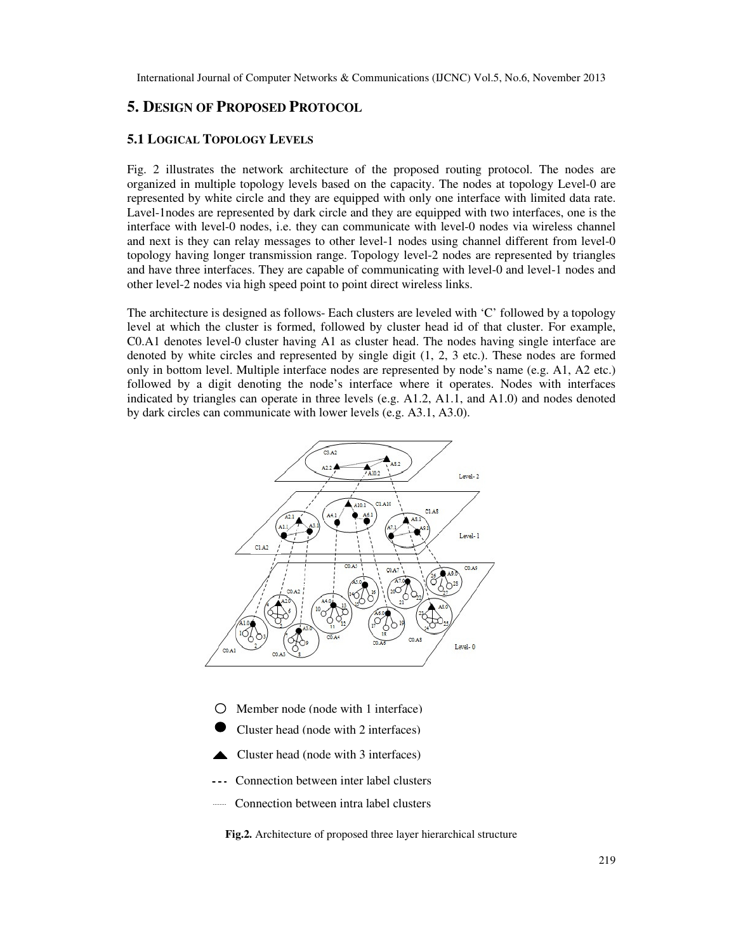# **5. DESIGN OF PROPOSED PROTOCOL**

## **5.1 LOGICAL TOPOLOGY LEVELS**

Fig. 2 illustrates the network architecture of the proposed routing protocol. The nodes are organized in multiple topology levels based on the capacity. The nodes at topology Level-0 are represented by white circle and they are equipped with only one interface with limited data rate. Lavel-1nodes are represented by dark circle and they are equipped with two interfaces, one is the interface with level-0 nodes, i.e. they can communicate with level-0 nodes via wireless channel and next is they can relay messages to other level-1 nodes using channel different from level-0 topology having longer transmission range. Topology level-2 nodes are represented by triangles and have three interfaces. They are capable of communicating with level-0 and level-1 nodes and other level-2 nodes via high speed point to point direct wireless links.

The architecture is designed as follows- Each clusters are leveled with 'C' followed by a topology level at which the cluster is formed, followed by cluster head id of that cluster. For example, C0.A1 denotes level-0 cluster having A1 as cluster head. The nodes having single interface are denoted by white circles and represented by single digit (1, 2, 3 etc.). These nodes are formed only in bottom level. Multiple interface nodes are represented by node's name (e.g. A1, A2 etc.) followed by a digit denoting the node's interface where it operates. Nodes with interfaces indicated by triangles can operate in three levels (e.g. A1.2, A1.1, and A1.0) and nodes denoted by dark circles can communicate with lower levels (e.g. A3.1, A3.0).



- $\bigcirc$  Member node (node with 1 interface)
- Cluster head (node with 2 interfaces)
- Cluster head (node with 3 interfaces)
- --- Connection between inter label clusters
- **Connection between intra label clusters**

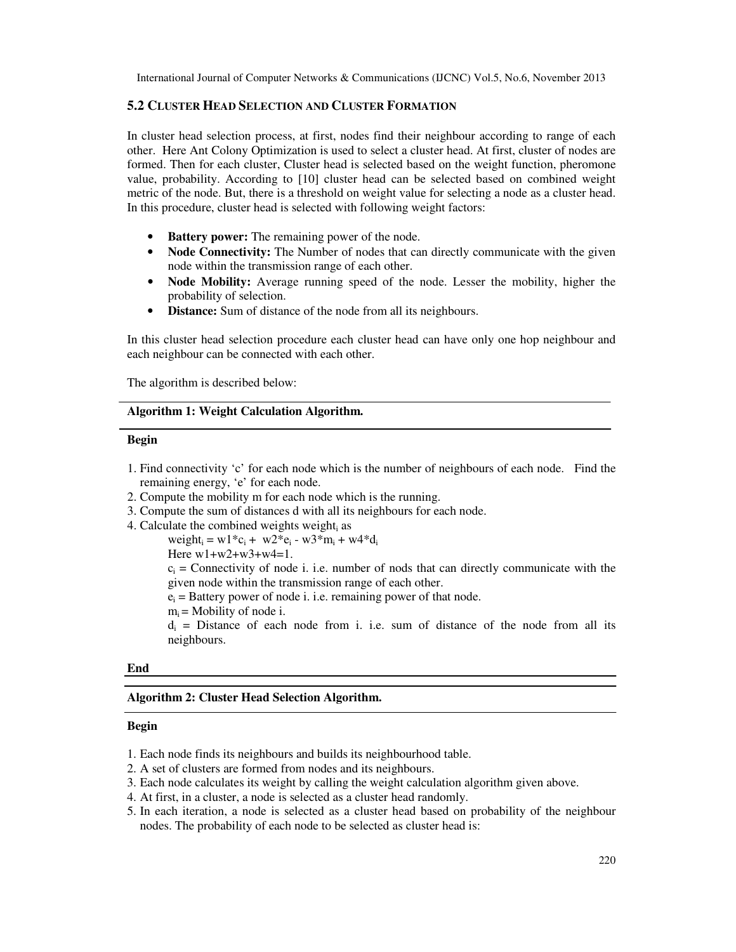## **5.2 CLUSTER HEAD SELECTION AND CLUSTER FORMATION**

In cluster head selection process, at first, nodes find their neighbour according to range of each other. Here Ant Colony Optimization is used to select a cluster head. At first, cluster of nodes are formed. Then for each cluster, Cluster head is selected based on the weight function, pheromone value, probability. According to [10] cluster head can be selected based on combined weight metric of the node. But, there is a threshold on weight value for selecting a node as a cluster head. In this procedure, cluster head is selected with following weight factors:

- **Battery power:** The remaining power of the node.
- **Node Connectivity:** The Number of nodes that can directly communicate with the given node within the transmission range of each other.
- **Node Mobility:** Average running speed of the node. Lesser the mobility, higher the probability of selection.
- **Distance:** Sum of distance of the node from all its neighbours.

In this cluster head selection procedure each cluster head can have only one hop neighbour and each neighbour can be connected with each other.

The algorithm is described below:

## **Algorithm 1: Weight Calculation Algorithm.**

## **Begin**

- 1. Find connectivity 'c' for each node which is the number of neighbours of each node. Find the remaining energy, 'e' for each node.
- 2. Compute the mobility m for each node which is the running.
- 3. Compute the sum of distances d with all its neighbours for each node.
- 4. Calculate the combined weights weight, as

 $weight_i = w1 \cdot c_i + w2 \cdot c_i - w3 \cdot m_i + w4 \cdot d_i$ Here w1+w2+w3+w4=1.

 $c_i$  = Connectivity of node i. i.e. number of nods that can directly communicate with the given node within the transmission range of each other.

 $e_i$  = Battery power of node i. i.e. remaining power of that node.

 $m_i$  = Mobility of node i.

 $d_i$  = Distance of each node from i. i.e. sum of distance of the node from all its neighbours.

#### **End**

#### **Algorithm 2: Cluster Head Selection Algorithm.**

#### **Begin**

- 1. Each node finds its neighbours and builds its neighbourhood table.
- 2. A set of clusters are formed from nodes and its neighbours.
- 3. Each node calculates its weight by calling the weight calculation algorithm given above.
- 4. At first, in a cluster, a node is selected as a cluster head randomly.
- 5. In each iteration, a node is selected as a cluster head based on probability of the neighbour nodes. The probability of each node to be selected as cluster head is: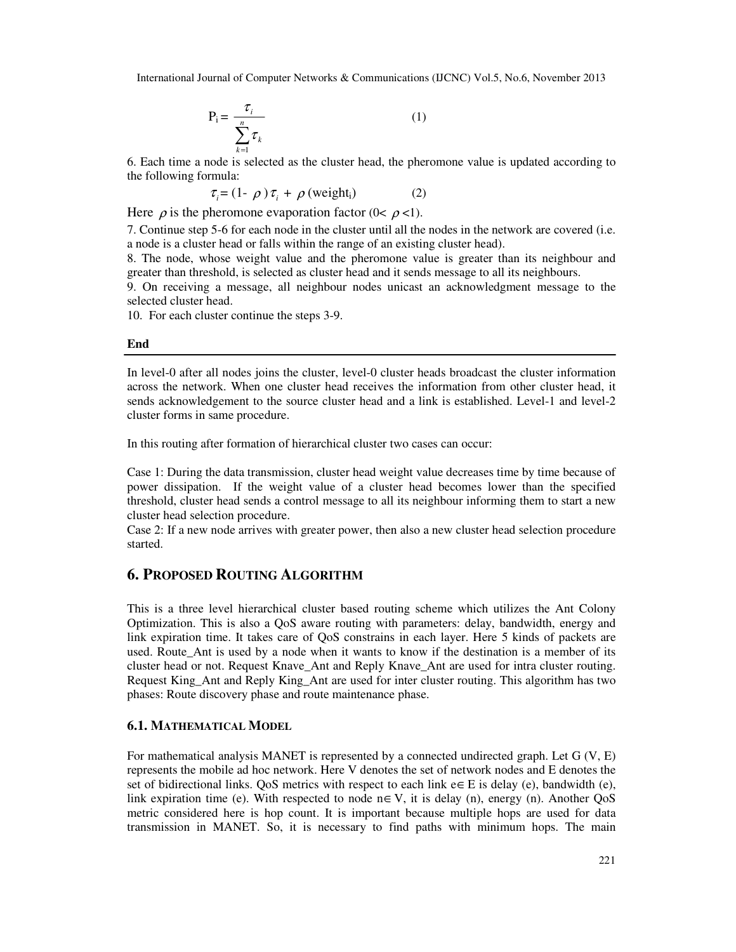$$
P_i = \frac{\tau_i}{\sum_{k=1}^n \tau_k}
$$
 (1)

6. Each time a node is selected as the cluster head, the pheromone value is updated according to the following formula:

$$
\tau_i = (1 - \rho) \tau_i + \rho \text{ (weight_i)}
$$
 (2)

Here  $\rho$  is the pheromone evaporation factor (0<  $\rho$  <1).

7. Continue step 5-6 for each node in the cluster until all the nodes in the network are covered (i.e. a node is a cluster head or falls within the range of an existing cluster head).

8. The node, whose weight value and the pheromone value is greater than its neighbour and greater than threshold, is selected as cluster head and it sends message to all its neighbours.

9. On receiving a message, all neighbour nodes unicast an acknowledgment message to the selected cluster head.

10. For each cluster continue the steps 3-9.

## **End**

In level-0 after all nodes joins the cluster, level-0 cluster heads broadcast the cluster information across the network. When one cluster head receives the information from other cluster head, it sends acknowledgement to the source cluster head and a link is established. Level-1 and level-2 cluster forms in same procedure.

In this routing after formation of hierarchical cluster two cases can occur:

Case 1: During the data transmission, cluster head weight value decreases time by time because of power dissipation. If the weight value of a cluster head becomes lower than the specified threshold, cluster head sends a control message to all its neighbour informing them to start a new cluster head selection procedure.

Case 2: If a new node arrives with greater power, then also a new cluster head selection procedure started.

## **6. PROPOSED ROUTING ALGORITHM**

This is a three level hierarchical cluster based routing scheme which utilizes the Ant Colony Optimization. This is also a QoS aware routing with parameters: delay, bandwidth, energy and link expiration time. It takes care of QoS constrains in each layer. Here 5 kinds of packets are used. Route\_Ant is used by a node when it wants to know if the destination is a member of its cluster head or not. Request Knave\_Ant and Reply Knave\_Ant are used for intra cluster routing. Request King\_Ant and Reply King\_Ant are used for inter cluster routing. This algorithm has two phases: Route discovery phase and route maintenance phase.

## **6.1. MATHEMATICAL MODEL**

For mathematical analysis MANET is represented by a connected undirected graph. Let G (V, E) represents the mobile ad hoc network. Here V denotes the set of network nodes and E denotes the set of bidirectional links. QoS metrics with respect to each link  $e \in E$  is delay (e), bandwidth (e), link expiration time (e). With respected to node  $n \in V$ , it is delay (n), energy (n). Another QoS metric considered here is hop count. It is important because multiple hops are used for data transmission in MANET. So, it is necessary to find paths with minimum hops. The main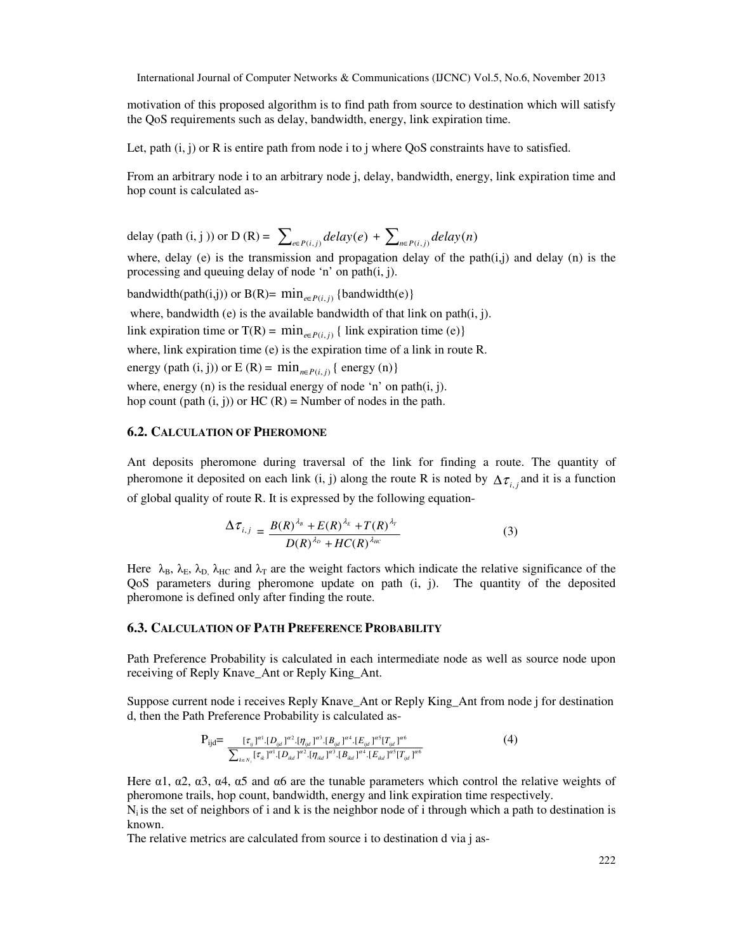motivation of this proposed algorithm is to find path from source to destination which will satisfy the QoS requirements such as delay, bandwidth, energy, link expiration time.

Let, path  $(i, j)$  or R is entire path from node i to j where OoS constraints have to satisfied.

From an arbitrary node i to an arbitrary node j, delay, bandwidth, energy, link expiration time and hop count is calculated as-

delay (path (i, j)) or D (R) = 
$$
\sum_{e \in P(i,j)} delay(e) + \sum_{n \in P(i,j)} delay(n)
$$

where, delay (e) is the transmission and propagation delay of the path $(i,j)$  and delay (n) is the processing and queuing delay of node 'n' on path(i, j).

 $\text{bandwidth}(\text{path}(i,j)) \text{ or } B(R) = \min_{e \in P(i,j)} \{ \text{bandwidth}(e) \}$ where, bandwidth (e) is the available bandwidth of that link on path(i, j). link expiration time or T(R) =  $\min_{e \in P(i,j)} \{ \text{link expiration time (e)} \}$ where, link expiration time (e) is the expiration time of a link in route R. energy (path (i, j)) or  $E(R) = min_{n \in P(i,j)} \{ energy(n) \}$ where, energy (n) is the residual energy of node 'n' on path(i, j). hop count (path  $(i, j)$ ) or HC  $(R)$  = Number of nodes in the path.

## **6.2. CALCULATION OF PHEROMONE**

Ant deposits pheromone during traversal of the link for finding a route. The quantity of pheromone it deposited on each link (i, j) along the route R is noted by  $\Delta \tau_{i,i}$  and it is a function of global quality of route R. It is expressed by the following equation-

$$
\Delta \tau_{i,j} = \frac{B(R)^{\lambda_B} + E(R)^{\lambda_E} + T(R)^{\lambda_T}}{D(R)^{\lambda_D} + HC(R)^{\lambda_{HC}}}
$$
(3)

Here  $\lambda_B$ ,  $\lambda_B$ ,  $\lambda_{B}$ ,  $\lambda_{HC}$  and  $\lambda_T$  are the weight factors which indicate the relative significance of the QoS parameters during pheromone update on path (i, j). The quantity of the deposited pheromone is defined only after finding the route.

## **6.3. CALCULATION OF PATH PREFERENCE PROBABILITY**

Path Preference Probability is calculated in each intermediate node as well as source node upon receiving of Reply Knave\_Ant or Reply King\_Ant.

Suppose current node i receives Reply Knave\_Ant or Reply King\_Ant from node j for destination d, then the Path Preference Probability is calculated as-

$$
P_{ijd} = \frac{[\tau_{ij}]^{a_1} [\Gamma_{ijd}]^{a_2} [\eta_{ijd}]^{a_3} [\Gamma_{ijd}]^{a_4} [\Gamma_{ijd}]^{a_5} [\Gamma_{ijd}]^{a_6}}{\sum_{k \in N_i} [\tau_{ik}]^{a_1} [\Gamma_{ikd}]^{a_2} [\eta_{ikd}]^{a_3} [\Gamma_{ikd}]^{a_4} [\Gamma_{ikd}]^{a_5} [\Gamma_{ijd}]^{a_6}}
$$
(4)

Here  $\alpha$ 1,  $\alpha$ 2,  $\alpha$ 3,  $\alpha$ 4,  $\alpha$ 5 and  $\alpha$ 6 are the tunable parameters which control the relative weights of pheromone trails, hop count, bandwidth, energy and link expiration time respectively.

 $N_i$  is the set of neighbors of i and k is the neighbor node of i through which a path to destination is known.

The relative metrics are calculated from source i to destination d via j as-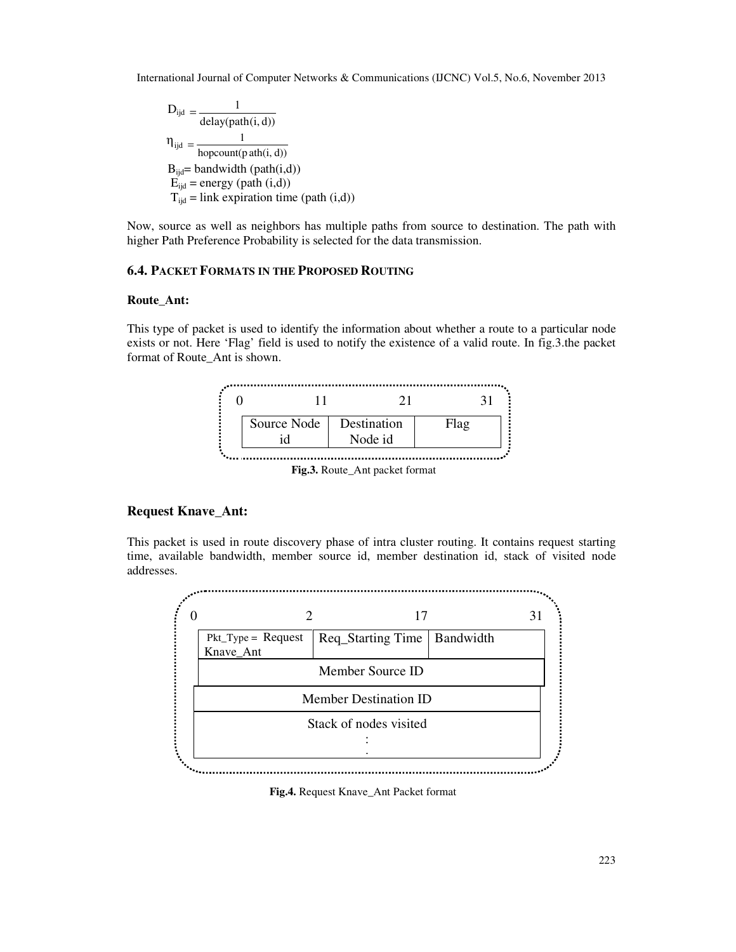$$
D_{ijd} = \frac{1}{delay(path(i, d))}
$$
  
\n
$$
\eta_{ijd} = \frac{1}{hopcount(path(i, d))}
$$
  
\n
$$
B_{ijd} = bandwidth (path(i, d))
$$
  
\n
$$
E_{ijd} = energy (path (i, d))
$$
  
\n
$$
T_{ijd} = link \, expiration \, time \, (path (i, d))
$$

Now, source as well as neighbors has multiple paths from source to destination. The path with higher Path Preference Probability is selected for the data transmission.

## **6.4. PACKET FORMATS IN THE PROPOSED ROUTING**

## **Route\_Ant:**

This type of packet is used to identify the information about whether a route to a particular node exists or not. Here 'Flag' field is used to notify the existence of a valid route. In fig.3.the packet format of Route\_Ant is shown.



**Fig.3.** Route\_Ant packet format

## **Request Knave\_Ant:**

This packet is used in route discovery phase of intra cluster routing. It contains request starting time, available bandwidth, member source id, member destination id, stack of visited node addresses.



**Fig.4.** Request Knave\_Ant Packet format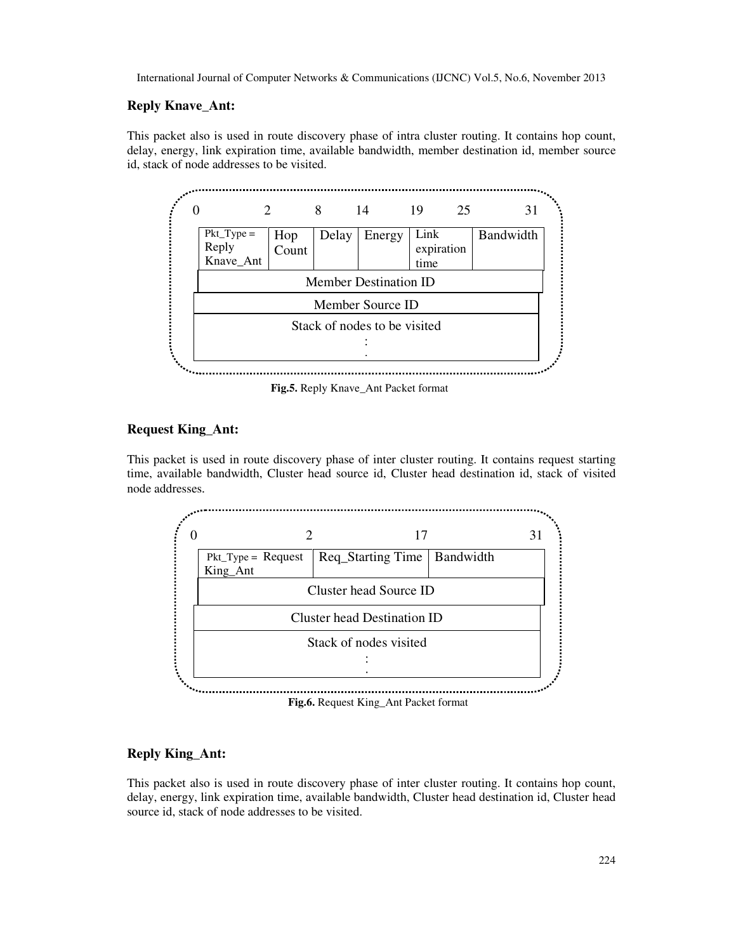## **Reply Knave\_Ant:**

This packet also is used in route discovery phase of intra cluster routing. It contains hop count, delay, energy, link expiration time, available bandwidth, member destination id, member source id, stack of node addresses to be visited.



**Fig.5.** Reply Knave\_Ant Packet format

## **Request King\_Ant:**

This packet is used in route discovery phase of inter cluster routing. It contains request starting time, available bandwidth, Cluster head source id, Cluster head destination id, stack of visited node addresses.



## **Reply King\_Ant:**

This packet also is used in route discovery phase of inter cluster routing. It contains hop count, delay, energy, link expiration time, available bandwidth, Cluster head destination id, Cluster head source id, stack of node addresses to be visited.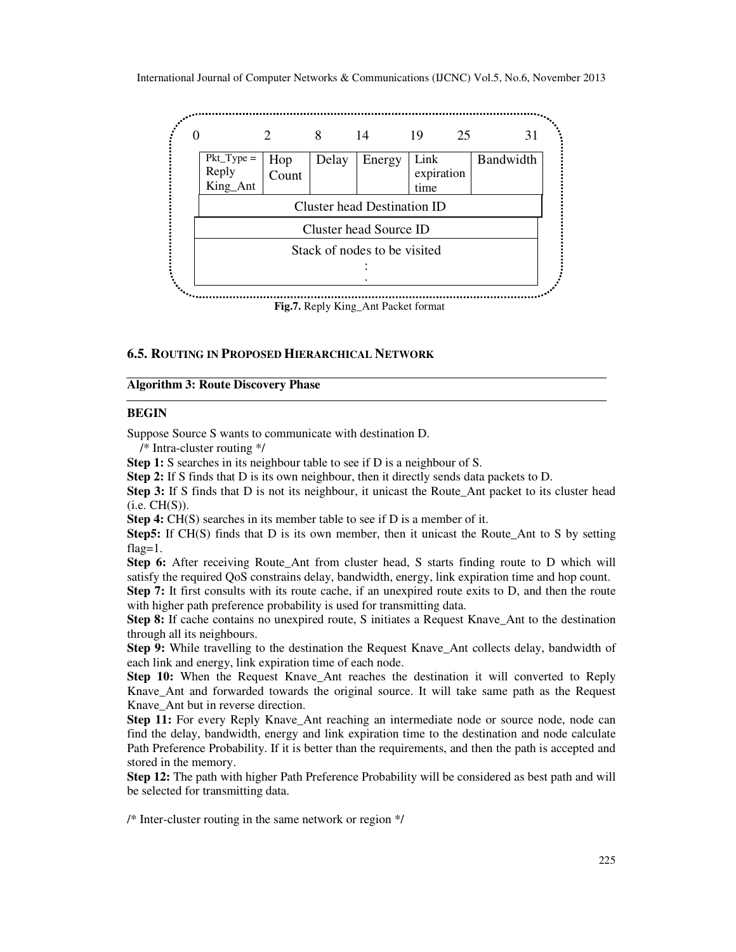

**Fig.7.** Reply King\_Ant Packet format

## **6.5. ROUTING IN PROPOSED HIERARCHICAL NETWORK**

#### **Algorithm 3: Route Discovery Phase**

## **BEGIN**

Suppose Source S wants to communicate with destination D.

/\* Intra-cluster routing \*/

**Step 1:** S searches in its neighbour table to see if D is a neighbour of S.

**Step 2:** If S finds that D is its own neighbour, then it directly sends data packets to D.

**Step 3:** If S finds that D is not its neighbour, it unicast the Route Ant packet to its cluster head  $(i.e. CH(S))$ .

**Step 4:** CH(S) searches in its member table to see if D is a member of it.

**Step5:** If CH(S) finds that D is its own member, then it unicast the Route\_Ant to S by setting flag=1.

**Step 6:** After receiving Route\_Ant from cluster head, S starts finding route to D which will satisfy the required QoS constrains delay, bandwidth, energy, link expiration time and hop count.

**Step 7:** It first consults with its route cache, if an unexpired route exits to D, and then the route with higher path preference probability is used for transmitting data.

**Step 8:** If cache contains no unexpired route, S initiates a Request Knave\_Ant to the destination through all its neighbours.

**Step 9:** While travelling to the destination the Request Knave\_Ant collects delay, bandwidth of each link and energy, link expiration time of each node.

**Step 10:** When the Request Knave Ant reaches the destination it will converted to Reply Knave Ant and forwarded towards the original source. It will take same path as the Request Knave Ant but in reverse direction.

**Step 11:** For every Reply Knave\_Ant reaching an intermediate node or source node, node can find the delay, bandwidth, energy and link expiration time to the destination and node calculate Path Preference Probability. If it is better than the requirements, and then the path is accepted and stored in the memory.

**Step 12:** The path with higher Path Preference Probability will be considered as best path and will be selected for transmitting data.

/\* Inter-cluster routing in the same network or region \*/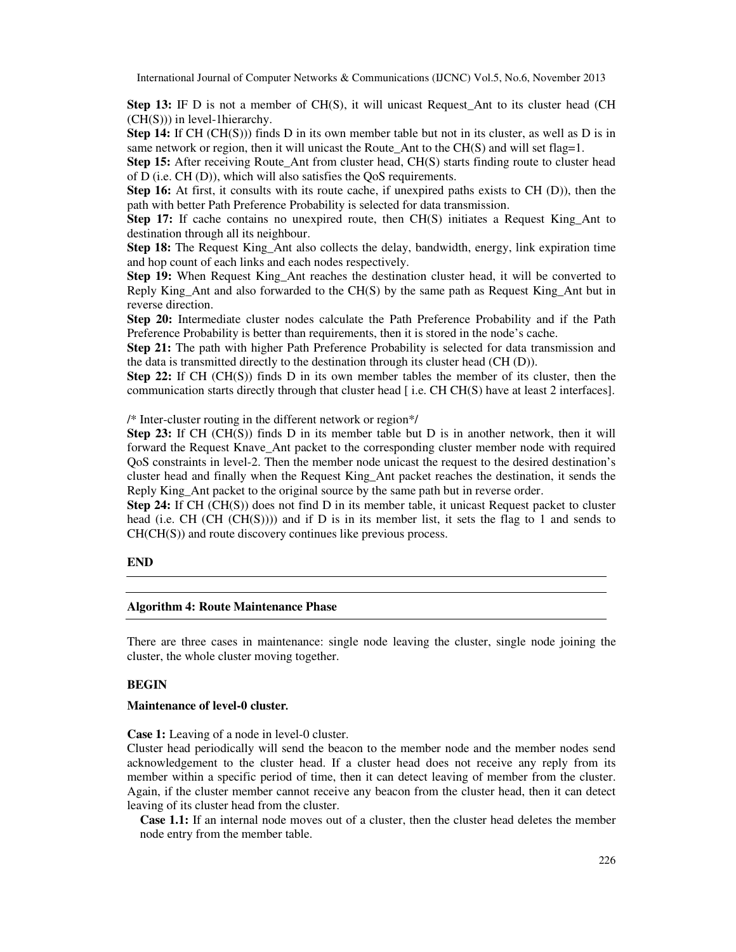**Step 13:** IF D is not a member of CH(S), it will unicast Request\_Ant to its cluster head (CH) (CH(S))) in level-1hierarchy.

**Step 14:** If CH (CH(S))) finds D in its own member table but not in its cluster, as well as D is in same network or region, then it will unicast the Route Ant to the CH(S) and will set flag=1.

**Step 15:** After receiving Route Ant from cluster head, CH(S) starts finding route to cluster head of D (i.e. CH (D)), which will also satisfies the QoS requirements.

**Step 16:** At first, it consults with its route cache, if unexpired paths exists to CH (D)), then the path with better Path Preference Probability is selected for data transmission.

**Step 17:** If cache contains no unexpired route, then CH(S) initiates a Request King\_Ant to destination through all its neighbour.

**Step 18:** The Request King Ant also collects the delay, bandwidth, energy, link expiration time and hop count of each links and each nodes respectively.

**Step 19:** When Request King Ant reaches the destination cluster head, it will be converted to Reply King Ant and also forwarded to the CH(S) by the same path as Request King Ant but in reverse direction.

**Step 20:** Intermediate cluster nodes calculate the Path Preference Probability and if the Path Preference Probability is better than requirements, then it is stored in the node's cache.

**Step 21:** The path with higher Path Preference Probability is selected for data transmission and the data is transmitted directly to the destination through its cluster head (CH (D)).

**Step 22:** If CH (CH(S)) finds D in its own member tables the member of its cluster, then the communication starts directly through that cluster head  $\lceil$  i.e. CH CH(S) have at least 2 interfaces].

/\* Inter-cluster routing in the different network or region\*/

**Step 23:** If CH (CH(S)) finds D in its member table but D is in another network, then it will forward the Request Knave\_Ant packet to the corresponding cluster member node with required QoS constraints in level-2. Then the member node unicast the request to the desired destination's cluster head and finally when the Request King\_Ant packet reaches the destination, it sends the Reply King Ant packet to the original source by the same path but in reverse order.

**Step 24:** If CH (CH(S)) does not find D in its member table, it unicast Request packet to cluster head (i.e. CH (CH (CH(S)))) and if D is in its member list, it sets the flag to 1 and sends to CH(CH(S)) and route discovery continues like previous process.

## **END**

#### **Algorithm 4: Route Maintenance Phase**

There are three cases in maintenance: single node leaving the cluster, single node joining the cluster, the whole cluster moving together.

## **BEGIN**

## **Maintenance of level-0 cluster***.*

#### **Case 1:** Leaving of a node in level-0 cluster.

Cluster head periodically will send the beacon to the member node and the member nodes send acknowledgement to the cluster head. If a cluster head does not receive any reply from its member within a specific period of time, then it can detect leaving of member from the cluster. Again, if the cluster member cannot receive any beacon from the cluster head, then it can detect leaving of its cluster head from the cluster.

**Case 1.1:** If an internal node moves out of a cluster, then the cluster head deletes the member node entry from the member table.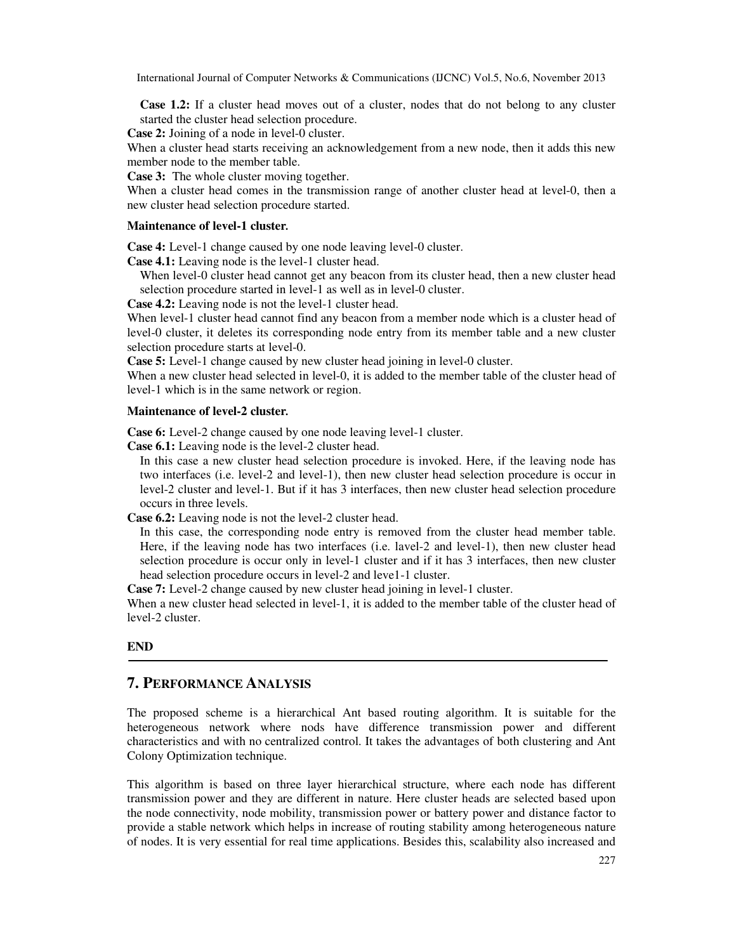**Case 1.2:** If a cluster head moves out of a cluster, nodes that do not belong to any cluster started the cluster head selection procedure.

**Case 2:** Joining of a node in level-0 cluster.

When a cluster head starts receiving an acknowledgement from a new node, then it adds this new member node to the member table.

**Case 3:** The whole cluster moving together.

When a cluster head comes in the transmission range of another cluster head at level-0, then a new cluster head selection procedure started.

#### **Maintenance of level-1 cluster***.*

**Case 4:** Level-1 change caused by one node leaving level-0 cluster.

**Case 4.1:** Leaving node is the level-1 cluster head.

When level-0 cluster head cannot get any beacon from its cluster head, then a new cluster head selection procedure started in level-1 as well as in level-0 cluster.

**Case 4.2:** Leaving node is not the level-1 cluster head.

When level-1 cluster head cannot find any beacon from a member node which is a cluster head of level-0 cluster, it deletes its corresponding node entry from its member table and a new cluster selection procedure starts at level-0.

**Case 5:** Level-1 change caused by new cluster head joining in level-0 cluster.

When a new cluster head selected in level-0, it is added to the member table of the cluster head of level-1 which is in the same network or region.

#### **Maintenance of level-2 cluster***.*

**Case 6:** Level-2 change caused by one node leaving level-1 cluster.

**Case 6.1:** Leaving node is the level-2 cluster head.

In this case a new cluster head selection procedure is invoked. Here, if the leaving node has two interfaces (i.e. level-2 and level-1), then new cluster head selection procedure is occur in level-2 cluster and level-1. But if it has 3 interfaces, then new cluster head selection procedure occurs in three levels.

**Case 6.2:** Leaving node is not the level-2 cluster head.

In this case, the corresponding node entry is removed from the cluster head member table. Here, if the leaving node has two interfaces (i.e. lavel-2 and level-1), then new cluster head selection procedure is occur only in level-1 cluster and if it has 3 interfaces, then new cluster head selection procedure occurs in level-2 and leve1-1 cluster.

**Case 7:** Level-2 change caused by new cluster head joining in level-1 cluster.

When a new cluster head selected in level-1, it is added to the member table of the cluster head of level-2 cluster.

#### **END**

## **7. PERFORMANCE ANALYSIS**

The proposed scheme is a hierarchical Ant based routing algorithm. It is suitable for the heterogeneous network where nods have difference transmission power and different characteristics and with no centralized control. It takes the advantages of both clustering and Ant Colony Optimization technique.

This algorithm is based on three layer hierarchical structure, where each node has different transmission power and they are different in nature. Here cluster heads are selected based upon the node connectivity, node mobility, transmission power or battery power and distance factor to provide a stable network which helps in increase of routing stability among heterogeneous nature of nodes. It is very essential for real time applications. Besides this, scalability also increased and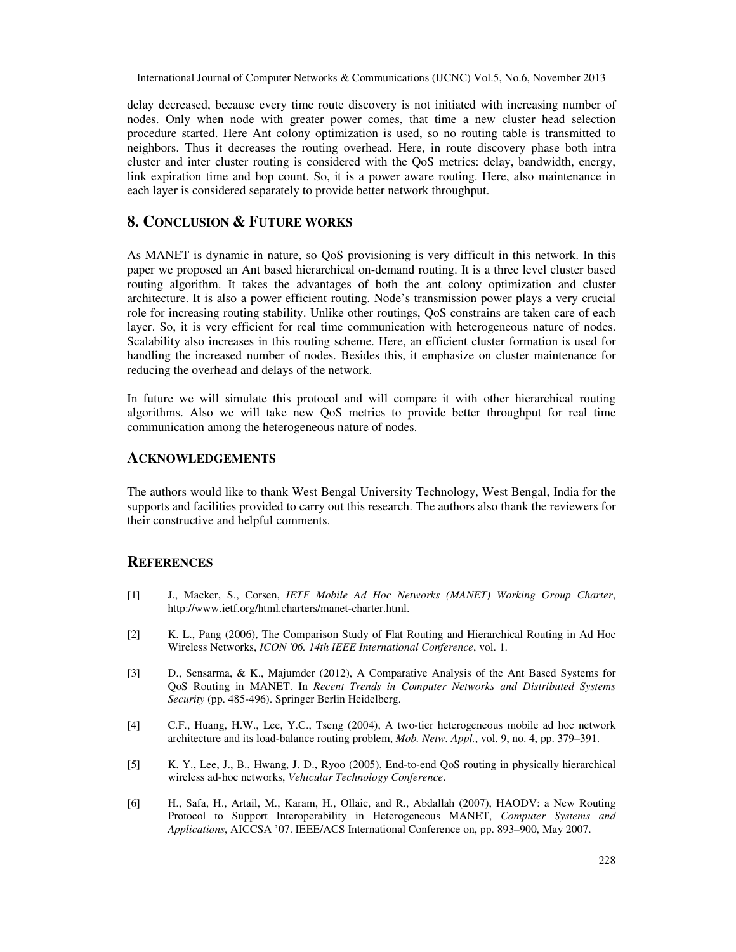delay decreased, because every time route discovery is not initiated with increasing number of nodes. Only when node with greater power comes, that time a new cluster head selection procedure started. Here Ant colony optimization is used, so no routing table is transmitted to neighbors. Thus it decreases the routing overhead. Here, in route discovery phase both intra cluster and inter cluster routing is considered with the QoS metrics: delay, bandwidth, energy, link expiration time and hop count. So, it is a power aware routing. Here, also maintenance in each layer is considered separately to provide better network throughput.

## **8. CONCLUSION & FUTURE WORKS**

As MANET is dynamic in nature, so QoS provisioning is very difficult in this network. In this paper we proposed an Ant based hierarchical on-demand routing. It is a three level cluster based routing algorithm. It takes the advantages of both the ant colony optimization and cluster architecture. It is also a power efficient routing. Node's transmission power plays a very crucial role for increasing routing stability. Unlike other routings, QoS constrains are taken care of each layer. So, it is very efficient for real time communication with heterogeneous nature of nodes. Scalability also increases in this routing scheme. Here, an efficient cluster formation is used for handling the increased number of nodes. Besides this, it emphasize on cluster maintenance for reducing the overhead and delays of the network.

In future we will simulate this protocol and will compare it with other hierarchical routing algorithms. Also we will take new QoS metrics to provide better throughput for real time communication among the heterogeneous nature of nodes.

## **ACKNOWLEDGEMENTS**

The authors would like to thank West Bengal University Technology, West Bengal, India for the supports and facilities provided to carry out this research. The authors also thank the reviewers for their constructive and helpful comments.

## **REFERENCES**

- [1] J., Macker, S., Corsen, *IETF Mobile Ad Hoc Networks (MANET) Working Group Charter*, http://www.ietf.org/html.charters/manet-charter.html.
- [2] K. L., Pang (2006), The Comparison Study of Flat Routing and Hierarchical Routing in Ad Hoc Wireless Networks, *ICON '06. 14th IEEE International Conference*, vol. 1.
- [3] D., Sensarma, & K., Majumder (2012), A Comparative Analysis of the Ant Based Systems for QoS Routing in MANET. In *Recent Trends in Computer Networks and Distributed Systems Security* (pp. 485-496). Springer Berlin Heidelberg.
- [4] C.F., Huang, H.W., Lee, Y.C., Tseng (2004), A two-tier heterogeneous mobile ad hoc network architecture and its load-balance routing problem, *Mob. Netw. Appl.*, vol. 9, no. 4, pp. 379–391.
- [5] K. Y., Lee, J., B., Hwang, J. D., Ryoo (2005), End-to-end QoS routing in physically hierarchical wireless ad-hoc networks, *Vehicular Technology Conference*.
- [6] H., Safa, H., Artail, M., Karam, H., Ollaic, and R., Abdallah (2007), HAODV: a New Routing Protocol to Support Interoperability in Heterogeneous MANET, *Computer Systems and Applications*, AICCSA '07. IEEE/ACS International Conference on, pp. 893–900, May 2007.